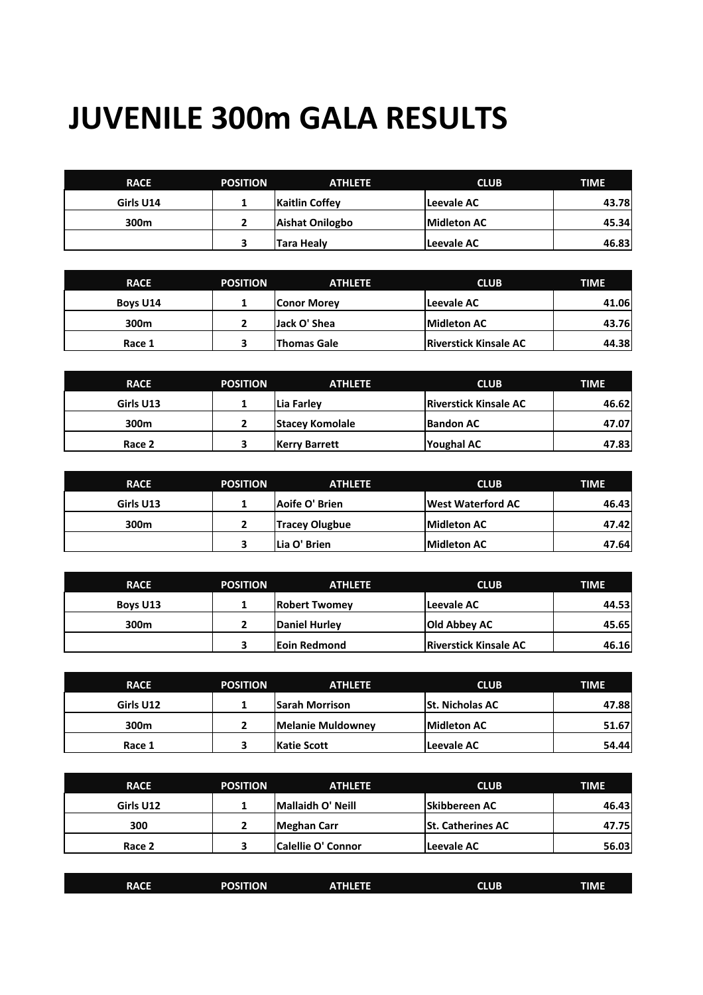## **JUVENILE 300m GALA RESULTS**

| <b>RACE</b> | <b>POSITION</b> | <b>ATHLETE</b>        | <b>CLUB</b> | <b>TIME</b> |
|-------------|-----------------|-----------------------|-------------|-------------|
| Girls U14   |                 | <b>Kaitlin Coffey</b> | Leevale AC  | 43.78       |
| 300m        |                 | Aishat Onilogbo       | Midleton AC | 45.34       |
|             |                 | Tara Healy            | Leevale AC  | 46.83       |

| <b>RACE</b> | <b>POSITION</b> | <b>ATHLETE</b>     | <b>CLUB</b>                  | <b>TIME</b> |
|-------------|-----------------|--------------------|------------------------------|-------------|
| Boys U14    |                 | <b>Conor Morey</b> | Leevale AC                   | 41.06       |
| 300m        |                 | Jack O' Shea       | <b>Midleton AC</b>           | 43.76       |
| Race 1      |                 | <b>Thomas Gale</b> | <b>Riverstick Kinsale AC</b> | 44.38       |

| <b>RACE</b> | <b>POSITION</b> | <b>ATHLETE</b>         | <b>CLUB</b>                  | <b>TIME</b> |
|-------------|-----------------|------------------------|------------------------------|-------------|
| Girls U13   |                 | lLia Farlev            | <b>Riverstick Kinsale AC</b> | 46.62       |
| 300m        |                 | <b>Stacey Komolale</b> | <b>Bandon AC</b>             | 47.07       |
| Race 2      |                 | Kerry Barrett          | Youghal AC                   | 47.83       |

| <b>RACE</b> | <b>POSITION</b> | <b>ATHLETE</b>        | <b>CLUB</b>              | TIME  |
|-------------|-----------------|-----------------------|--------------------------|-------|
| Girls U13   |                 | Aoife O' Brien        | <b>West Waterford AC</b> | 46.43 |
| 300m        |                 | <b>Tracey Olugbue</b> | <b>Midleton AC</b>       | 47.42 |
|             |                 | Lia O' Brien          | Midleton AC              | 47.64 |

| <b>RACE</b> | <b>POSITION</b> | <b>ATHLETE</b>       | <b>CLUB</b>                  | <b>TIME</b> |
|-------------|-----------------|----------------------|------------------------------|-------------|
| Boys U13    |                 | <b>Robert Twomev</b> | Leevale AC                   | 44.53       |
| 300m        |                 | Daniel Hurlev        | <b>Old Abbey AC</b>          | 45.65       |
|             |                 | <b>Eoin Redmond</b>  | <b>Riverstick Kinsale AC</b> | 46.16       |

| <b>RACE</b> | <b>POSITION</b> | <b>ATHLETE</b>        | <b>CLUB</b>            | <b>TIME</b> |
|-------------|-----------------|-----------------------|------------------------|-------------|
| Girls U12   |                 | <b>Sarah Morrison</b> | <b>St. Nicholas AC</b> | 47.88       |
| 300m        |                 | Melanie Muldowney     | <b>Midleton AC</b>     | 51.67       |
| Race 1      |                 | Katie Scott           | Leevale AC             | 54.44       |

| <b>RACE</b> | <b>POSITION</b> | <b>ATHLETE</b>            | <b>CLUB</b>              | <b>TIME</b> |
|-------------|-----------------|---------------------------|--------------------------|-------------|
| Girls U12   |                 | Mallaidh O' Neill         | <b>Skibbereen AC</b>     | 46.43       |
| 300         |                 | Meghan Carr               | <b>St. Catherines AC</b> | 47.75       |
| Race 2      |                 | <b>Calellie O' Connor</b> | Leevale AC               | 56.03       |

| <b>RACE</b> | <b>POSITION</b> | ATHLETE | <b>CLUB</b> | <b>TIME</b> |
|-------------|-----------------|---------|-------------|-------------|
|             |                 |         |             |             |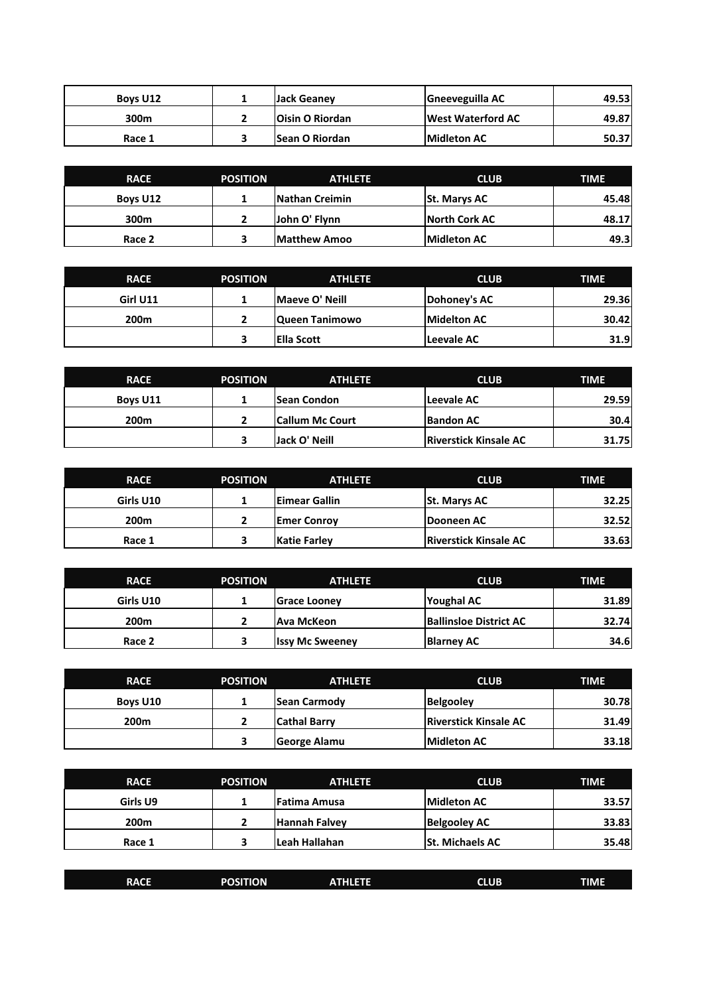| Boys U12 | Jack Geaney            | <b>Gneeveguilla AC</b>   | 49.53 |
|----------|------------------------|--------------------------|-------|
| 300m     | <b>Oisin O Riordan</b> | <b>West Waterford AC</b> | 49.87 |
| Race 1   | <b>ISean O Riordan</b> | <b>Midleton AC</b>       | 50.37 |

| <b>RACE</b> | <b>POSITION</b> | <b>ATHLETE</b>        | <b>CLUB</b>         | <b>TIME</b> |
|-------------|-----------------|-----------------------|---------------------|-------------|
| Boys U12    |                 | <b>Nathan Creimin</b> | <b>St. Marys AC</b> | 45.48       |
| 300m        |                 | John O' Flynn         | North Cork AC       | 48.17       |
| Race 2      |                 | <b>Matthew Amoo</b>   | Midleton AC         | 49.3        |

| <b>RACE</b>      | <b>POSITION</b> | <b>ATHLETE</b>     | <b>CLUB</b>        | <b>TIME</b> |
|------------------|-----------------|--------------------|--------------------|-------------|
| Girl U11         |                 | Maeye O' Neill     | Dohoney's AC       | 29.36       |
| 200 <sub>m</sub> |                 | Queen Tanimowo     | <b>Midelton AC</b> | 30.42       |
|                  |                 | <b>IElla Scott</b> | Leevale AC         | 31.9        |

| <b>RACE</b>      | <b>POSITION</b> | <b>ATHLETE</b>         | <b>CLUB</b>                  | <b>TIME</b> |
|------------------|-----------------|------------------------|------------------------------|-------------|
| Boys U11         |                 | lSean Condon           | Leevale AC                   | 29.59       |
| 200 <sub>m</sub> |                 | <b>Callum Mc Court</b> | <b>Bandon AC</b>             | 30.4        |
|                  |                 | Jack O' Neill          | <b>Riverstick Kinsale AC</b> | 31.75       |

| <b>RACE</b>      | <b>POSITION</b> | <b>ATHLETE</b>      | <b>CLUB</b>                  | <b>TIME</b> |
|------------------|-----------------|---------------------|------------------------------|-------------|
| Girls U10        |                 | Eimear Gallin       | <b>St. Marys AC</b>          | 32.25       |
| 200 <sub>m</sub> |                 | <b>Emer Conroy</b>  | Dooneen AC                   | 32.52       |
| Race 1           |                 | <b>Katie Farley</b> | <b>Riverstick Kinsale AC</b> | 33.63       |

| <b>RACE</b>      | <b>POSITION</b> | <b>ATHLETE</b>         | <b>CLUB</b>                   | <b>TIME</b> |
|------------------|-----------------|------------------------|-------------------------------|-------------|
| Girls U10        |                 | Grace Looney           | Youghal AC                    | 31.89       |
| 200 <sub>m</sub> |                 | Ava McKeon             | <b>Ballinsloe District AC</b> | 32.74       |
| Race 2           |                 | <b>Issy Mc Sweeney</b> | Blarney AC                    | 34.6        |

| <b>RACE</b>      | <b>POSITION</b> | <b>ATHLETE</b>      | <b>CLUB</b>                  | <b>TIME</b> |
|------------------|-----------------|---------------------|------------------------------|-------------|
| Boys U10         |                 | <b>Sean Carmody</b> | Belgooley                    | 30.78       |
| 200 <sub>m</sub> |                 | <b>Cathal Barry</b> | <b>Riverstick Kinsale AC</b> | 31.49       |
|                  |                 | George Alamu        | <b>Midleton AC</b>           | 33.18       |

| <b>RACE</b>      | <b>POSITION</b> | <b>ATHLETE</b>      | <b>CLUB</b>            | <b>TIME</b> |
|------------------|-----------------|---------------------|------------------------|-------------|
| Girls U9         |                 | <b>Fatima Amusa</b> | <b>Midleton AC</b>     | 33.57       |
| 200 <sub>m</sub> |                 | Hannah Falvev       | <b>Belgooley AC</b>    | 33.83       |
| Race 1           |                 | lLeah Hallahan      | <b>St. Michaels AC</b> | 35.48       |

| <b>RACE</b> | <b>POSITION</b> | <b>ATHLETE</b> | <b>CLUB</b> | <b>TIME</b> |
|-------------|-----------------|----------------|-------------|-------------|
|             |                 |                |             |             |